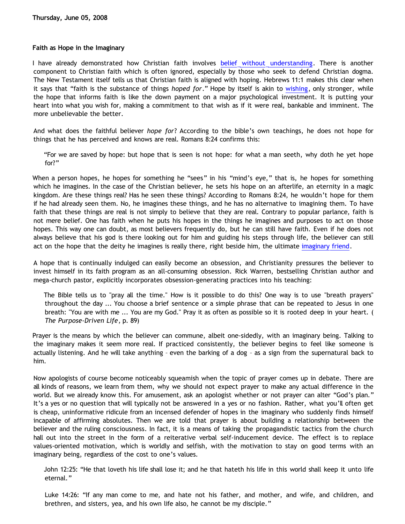## **Faith as Hope in the Imaginary**

I have already demonstrated how Christian faith involves [belief without understanding](http://bahnsenburner.blogspot.com/2007/01/faith-as-belief-without-understanding.html). There is another component to Christian faith which is often ignored, especially by those who seek to defend Christian dogma. The New Testament itself tells us that Christian faith is aligned with hoping. Hebrews 11:1 makes this clear when it says that "faith is the substance of things *hoped for*." Hope by itself is akin to [wishing](http://bahnsenburner.blogspot.com/2006/12/wishing-and-christian-deity.html), only stronger, while the hope that informs faith is like the down payment on a major psychological investment. It is putting your heart into what you wish for, making a commitment to that wish as if it were real, bankable and imminent. The more unbelievable the better.

And what does the faithful believer *hope for*? According to the bible's own teachings, he does not hope for things that he has perceived and knows are real. Romans 8:24 confirms this:

"For we are saved by hope: but hope that is seen is not hope: for what a man seeth, why doth he yet hope for?"

When a person hopes, he hopes for something he "sees" in his "mind's eye," that is, he hopes for something which he imagines. In the case of the Christian believer, he sets his hope on an afterlife, an eternity in a magic kingdom. Are these things real? Has he seen these things? According to Romans 8:24, he wouldn't hope for them if he had already seen them. No, he imagines these things, and he has no alternative to imagining them. To have faith that these things are real is not simply to believe that they are real. Contrary to popular parlance, faith is not mere belief. One has faith when he puts his hopes in the things he imagines and purposes to act on those hopes. This way one can doubt, as most believers frequently do, but he can still have faith. Even if he does not always believe that his god is there looking out for him and guiding his steps through life, the believer can still act on the hope that the deity he imagines is really there, right beside him, the ultimate [imaginary friend.](http://bahnsenburner.blogspot.com/2006/08/christianity-imaginary-friends-network.html)

A hope that is continually indulged can easily become an obsession, and Christianity pressures the believer to invest himself in its faith program as an all-consuming obsession. Rick Warren, bestselling Christian author and mega-church pastor, explicitly incorporates obsession-generating practices into his teaching:

The Bible tells us to "pray all the time." How is it possible to do this? One way is to use "breath prayers" throughout the day ... You choose a brief sentence or a simple phrase that can be repeated to Jesus in one breath: "You are with me ... You are my God." Pray it as often as possible so it is rooted deep in your heart. ( *The Purpose-Driven Life*, p. 89)

Prayer is the means by which the believer can commune, albeit one-sidedly, with an imaginary being. Talking to the imaginary makes it seem more real. If practiced consistently, the believer begins to feel like someone is actually listening. And he will take anything – even the barking of a dog – as a sign from the supernatural back to him.

Now apologists of course become noticeably squeamish when the topic of prayer comes up in debate. There are all kinds of reasons, we learn from them, why we should not expect prayer to make any actual difference in the world. But we already know this. For amusement, ask an apologist whether or not prayer can alter "God's plan." It's a yes or no question that will typically not be answered in a yes or no fashion. Rather, what you'll often get is cheap, uninformative ridicule from an incensed defender of hopes in the imaginary who suddenly finds himself incapable of affirming absolutes. Then we are told that prayer is about building a relationship between the believer and the ruling consciousness. In fact, it is a means of taking the propagandistic tactics from the church hall out into the street in the form of a reiterative verbal self-inducement device. The effect is to replace values-oriented motivation, which is worldly and selfish, with the motivation to stay on good terms with an imaginary being, regardless of the cost to one's values.

John 12:25: "He that loveth his life shall lose it; and he that hateth his life in this world shall keep it unto life eternal."

Luke 14:26: "If any man come to me, and hate not his father, and mother, and wife, and children, and brethren, and sisters, yea, and his own life also, he cannot be my disciple."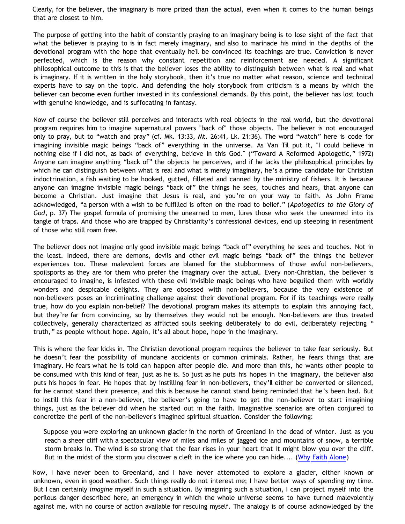Clearly, for the believer, the imaginary is more prized than the actual, even when it comes to the human beings that are closest to him.

The purpose of getting into the habit of constantly praying to an imaginary being is to lose sight of the fact that what the believer is praying to is in fact merely imaginary, and also to marinade his mind in the depths of the devotional program with the hope that eventually he'll be convinced its teachings are true. Conviction is never perfected, which is the reason why constant repetition and reinforcement are needed. A significant philosophical outcome to this is that the believer loses the ability to distinguish between what is real and what is imaginary. If it is written in the holy storybook, then it's true no matter what reason, science and technical experts have to say on the topic. And defending the holy storybook from criticism is a means by which the believer can become even further invested in its confessional demands. By this point, the believer has lost touch with genuine knowledge, and is suffocating in fantasy.

Now of course the believer still perceives and interacts with real objects in the real world, but the devotional program requires him to imagine supernatural powers "back of" those objects. The believer is not encouraged only to pray, but to "watch and pray" (cf. Mk. 13:33, Mt. 26:41, Lk. 21:36). The word "watch" here is code for imagining invisible magic beings "back of" everything in the universe. As Van Til put it, "I could believe in nothing else if I did not, as back of everything, believe in this God." ("Toward A Reformed Apologetic," 1972) Anyone can imagine anything "back of" the objects he perceives, and if he lacks the philosophical principles by which he can distinguish between what is real and what is merely imaginary, he's a prime candidate for Christian indoctrination, a fish waiting to be hooked, gutted, filleted and canned by the ministry of fishers. It is because anyone can imagine invisible magic beings "back of" the things he sees, touches and hears, that anyone can become a Christian. Just imagine that Jesus is real, and you're on your way to faith. As John Frame acknowledged, "a person with a wish to be fulfilled is often on the road to belief." (*Apologetics to the Glory of God*, p. 37) The gospel formula of promising the unearned to men, lures those who seek the unearned into its tangle of traps. And those who are trapped by Christianity's confessional devices, end up steeping in resentment of those who still roam free.

The believer does not imagine only good invisible magic beings "back of" everything he sees and touches. Not in the least. Indeed, there are demons, devils and other evil magic beings "back of" the things the believer experiences too. These malevolent forces are blamed for the stubbornness of those awful non-believers, spoilsports as they are for them who prefer the imaginary over the actual. Every non-Christian, the believer is encouraged to imagine, is infested with these evil invisible magic beings who have beguiled them with worldly wonders and despicable delights. They are obsessed with non-believers, because the very existence of non-believers poses an incriminating challenge against their devotional program. For if its teachings were really true, how do you explain non-belief? The devotional program makes its attempts to explain this annoying fact, but they're far from convincing, so by themselves they would not be enough. Non-believers are thus treated collectively, generally characterized as afflicted souls seeking deliberately to do evil, deliberately rejecting " truth," as people without hope. Again, it's all about hope, hope in the imaginary.

This is where the fear kicks in. The Christian devotional program requires the believer to take fear seriously. But he doesn't fear the possibility of mundane accidents or common criminals. Rather, he fears things that are imaginary. He fears what he is told can happen after people die. And more than this, he wants other people to be consumed with this kind of fear, just as he is. So just as he puts his hopes in the imaginary, the believer also puts his hopes in fear. He hopes that by instilling fear in non-believers, they'll either be converted or silenced, for he cannot stand their presence, and this is because he cannot stand being reminded that he's been had. But to instill this fear in a non-believer, the believer's going to have to get the non-believer to start imagining things, just as the believer did when he started out in the faith. Imaginative scenarios are often conjured to concretize the peril of the non-believer's imagined spiritual situation. Consider the following:

Suppose you were exploring an unknown glacier in the north of Greenland in the dead of winter. Just as you reach a sheer cliff with a spectacular view of miles and miles of jagged ice and mountains of snow, a terrible storm breaks in. The wind is so strong that the fear rises in your heart that it might blow you over the cliff. But in the midst of the storm you discover a cleft in the ice where you can hide.... ([Why Faith Alone\)](http://triablogue.blogspot.com/2008/05/why-faith-alone.html)

Now, I have never been to Greenland, and I have never attempted to explore a glacier, either known or unknown, even in good weather. Such things really do not interest me; I have better ways of spending my time. But I can certainly *imagine* myself in such a situation. By imagining such a situation, I can project myself into the perilous danger described here, an emergency in which the whole universe seems to have turned malevolently against me, with no course of action available for rescuing myself. The analogy is of course acknowledged by the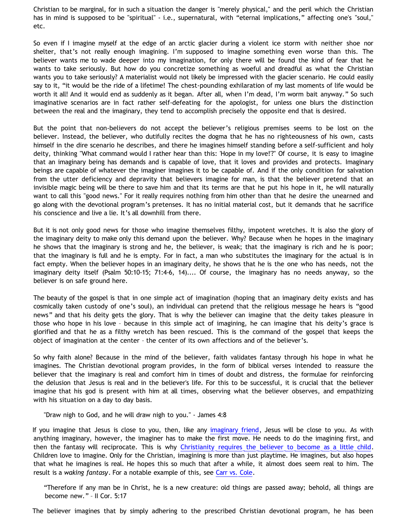Christian to be marginal, for in such a situation the danger is "merely physical," and the peril which the Christian has in mind is supposed to be "spiritual" - i.e., supernatural, with "eternal implications," affecting one's "soul," etc.

So even if I imagine myself at the edge of an arctic glacier during a violent ice storm with neither shoe nor shelter, that's not really enough imagining. I'm supposed to imagine something even worse than this. The believer wants me to wade deeper into my imagination, for only there will be found the kind of fear that he wants to take seriously. But how do you concretize something as woeful and dreadful as what the Christian wants you to take seriously? A materialist would not likely be impressed with the glacier scenario. He could easily say to it, "it would be the ride of a lifetime! The chest-pounding exhilaration of my last moments of life would be worth it all! And it would end as suddenly as it began. After all, when I'm dead, I'm worm bait anyway." So such imaginative scenarios are in fact rather self-defeating for the apologist, for unless one blurs the distinction between the real and the imaginary, they tend to accomplish precisely the opposite end that is desired.

But the point that non-believers do not accept the believer's religious premises seems to be lost on the believer. Instead, the believer, who dutifully recites the dogma that he has no righteousness of his own, casts himself in the dire scenario he describes, and there he imagines himself standing before a self-sufficient and holy deity, thinking "What command would I rather hear than this: 'Hope in my love!'?" Of course, it is easy to imagine that an imaginary being has demands and is capable of love, that it loves and provides and protects. Imaginary beings are capable of whatever the imaginer imagines it to be capable of. And if the only condition for salvation from the utter deficiency and depravity that believers imagine for man, is that the believer pretend that an invisible magic being will be there to save him and that its terms are that he put his hope in it, he will naturally want to call this "good news." For it really requires nothing from him other than that he desire the unearned and go along with the devotional program's pretenses. It has no initial material cost, but it demands that he sacrifice his conscience and live a lie. It's all downhill from there.

But it is not only good news for those who imagine themselves filthy, impotent wretches. It is also the glory of the imaginary deity to make only this demand upon the believer. Why? Because when he hopes in the imaginary he shows that the imaginary is strong and he, the believer, is weak; that the imaginary is rich and he is poor; that the imaginary is full and he is empty. For in fact, a man who substitutes the imaginary for the actual is in fact empty. When the believer hopes in an imaginary deity, he shows that he is the one who has needs, not the imaginary deity itself (Psalm 50:10-15; 71:4-6, 14).... Of course, the imaginary has no needs anyway, so the believer is on safe ground here.

The beauty of the gospel is that in one simple act of imagination (hoping that an imaginary deity exists and has cosmically taken custody of one's soul), an individual can pretend that the religious message he hears is "good news" and that his deity gets the glory. That is why the believer can imagine that the deity takes pleasure in those who hope in his love – because in this simple act of imagining, he can imagine that his deity's grace is glorified and that he as a filthy wretch has been rescued. This is the command of the gospel that keeps the object of imagination at the center – the center of its own affections and of the believer's.

So why faith alone? Because in the mind of the believer, faith validates fantasy through his hope in what he imagines. The Christian devotional program provides, in the form of biblical verses intended to reassure the believer that the imaginary is real and comfort him in times of doubt and distress, the formulae for reinforcing the delusion that Jesus is real and in the believer's life. For this to be successful, it is crucial that the believer imagine that his god is present with him at all times, observing what the believer observes, and empathizing with his situation on a day to day basis.

"Draw nigh to God, and he will draw nigh to you." - James 4:8

If you imagine that Jesus is close to you, then, like any [imaginary friend](http://bahnsenburner.blogspot.com/2006/08/christianity-imaginary-friends-network.html), Jesus will be close to you. As with anything imaginary, however, the imaginer has to make the first move. He needs to do the imagining first, and then the fantasy will reciprocate. This is why [Christianity requires the believer to become as a little child.](http://bahnsenburner.blogspot.com/2005/12/with-minds-of-children.html) Children love to imagine. Only for the Christian, imagining is more than just playtime. He imagines, but also hopes that what he imagines is real. He hopes this so much that after a while, it almost does seem real to him. The result is a *waking fantasy*. For a notable example of this, see [Carr vs. Cole](http://bahnsenburner.blogspot.com/2006/06/carr-vs-cole.html).

"Therefore if any man be in Christ, he is a new creature: old things are passed away; behold, all things are become new." – II Cor. 5:17

The believer imagines that by simply adhering to the prescribed Christian devotional program, he has been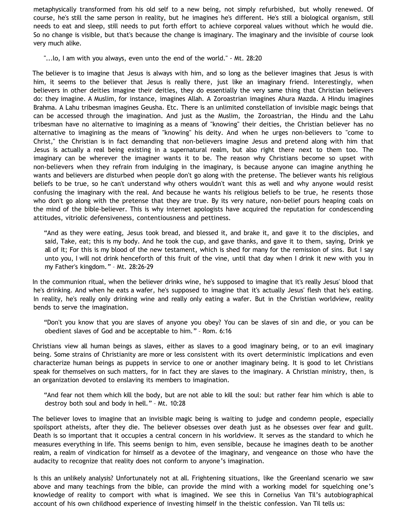metaphysically transformed from his old self to a new being, not simply refurbished, but wholly renewed. Of course, he's still the same person in reality, but he imagines he's different. He's still a biological organism, still needs to eat and sleep, still needs to put forth effort to achieve corporeal values without which he would die. So no change is visible, but that's because the change is imaginary. The imaginary and the invisible of course look very much alike.

"...lo, I am with you always, even unto the end of the world." - Mt. 28:20

The believer is to imagine that Jesus is always with him, and so long as the believer imagines that Jesus is with him, it seems to the believer that Jesus is really there, just like an imaginary friend. Interestingly, when believers in other deities imagine their deities, they do essentially the very same thing that Christian believers do: they imagine. A Muslim, for instance, imagines Allah. A Zoroastrian imagines Ahura Mazda. A Hindu imagines Brahma. A Lahu tribesman imagines Geusha. Etc. There is an unlimited constellation of invisible magic beings that can be accessed through the imagination. And just as the Muslim, the Zoroastrian, the Hindu and the Lahu tribesman have no alternative to imagining as a means of "knowing" their deities, the Christian believer has no alternative to imagining as the means of "knowing" his deity. And when he urges non-believers to "come to Christ," the Christian is in fact demanding that non-believers imagine Jesus and pretend along with him that Jesus is actually a real being existing in a supernatural realm, but also right there next to them too. The imaginary can be wherever the imaginer wants it to be. The reason why Christians become so upset with non-believers when they refrain from indulging in the imaginary, is because anyone can imagine anything he wants and believers are disturbed when people don't go along with the pretense. The believer wants his religious beliefs to be true, so he can't understand why others wouldn't want this as well and why anyone would resist confusing the imaginary with the real. And because he wants his religious beliefs to be true, he resents those who don't go along with the pretense that they are true. By its very nature, non-belief pours heaping coals on the mind of the bible-believer. This is why internet apologists have acquired the reputation for condescending attitudes, vitriolic defensiveness, contentiousness and pettiness.

"And as they were eating, Jesus took bread, and blessed it, and brake it, and gave it to the disciples, and said, Take, eat; this is my body. And he took the cup, and gave thanks, and gave it to them, saying, Drink ye all of it; For this is my blood of the new testament, which is shed for many for the remission of sins. But I say unto you, I will not drink henceforth of this fruit of the vine, until that day when I drink it new with you in my Father's kingdom." – Mt. 28:26-29

In the communion ritual, when the believer drinks wine, he's supposed to imagine that it's really Jesus' blood that he's drinking. And when he eats a wafer, he's supposed to imagine that it's actually Jesus' flesh that he's eating. In reality, he's really only drinking wine and really only eating a wafer. But in the Christian worldview, reality bends to serve the imagination.

"Don't you know that you are slaves of anyone you obey? You can be slaves of sin and die, or you can be obedient slaves of God and be acceptable to him." – Rom. 6:16

Christians view all human beings as slaves, either as slaves to a good imaginary being, or to an evil imaginary being. Some strains of Christianity are more or less consistent with its overt deterministic implications and even characterize human beings as puppets in service to one or another imaginary being. It is good to let Christians speak for themselves on such matters, for in fact they are slaves to the imaginary. A Christian ministry, then, is an organization devoted to enslaving its members to imagination.

"And fear not them which kill the body, but are not able to kill the soul: but rather fear him which is able to destroy both soul and body in hell." – Mt. 10:28

The believer loves to imagine that an invisible magic being is waiting to judge and condemn people, especially spoilsport atheists, after they die. The believer obsesses over death just as he obsesses over fear and guilt. Death is so important that it occupies a central concern in his worldview. It serves as the standard to which he measures everything in life. This seems benign to him, even sensible, because he imagines death to be another realm, a realm of vindication for himself as a devotee of the imaginary, and vengeance on those who have the audacity to recognize that reality does not conform to anyone's imagination.

Is this an unlikely analysis? Unfortunately not at all. Frightening situations, like the Greenland scenario we saw above and many teachings from the bible, can provide the mind with a working model for squelching one's knowledge of reality to comport with what is imagined. We see this in Cornelius Van Til's autobiographical account of his own childhood experience of investing himself in the theistic confession. Van Til tells us: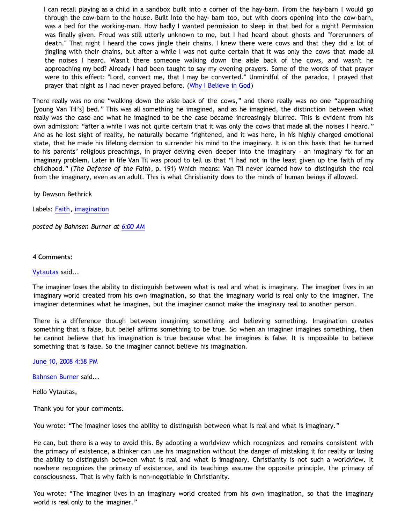I can recall playing as a child in a sandbox built into a corner of the hay-barn. From the hay-barn I would go through the cow-barn to the house. Built into the hay- barn too, but with doors opening into the cow-barn, was a bed for the working-man. How badly I wanted permission to sleep in that bed for a night! Permission was finally given. Freud was still utterly unknown to me, but I had heard about ghosts and "forerunners of death." That night I heard the cows jingle their chains. I knew there were cows and that they did a lot of jingling with their chains, but after a while I was not quite certain that it was only the cows that made all the noises I heard. Wasn't there someone walking down the aisle back of the cows, and wasn't he approaching my bed? Already I had been taught to say my evening prayers. Some of the words of that prayer were to this effect: "Lord, convert me, that I may be converted." Unmindful of the paradox, I prayed that prayer that night as I had never prayed before. ([Why I Believe in God](http://www.reformed.org/apologetics/index.html?mainframe=/apologetics/why_I_believe_cvt.html))

There really was no one "walking down the aisle back of the cows," and there really was no one "approaching [young Van Til's] bed." This was all something he imagined, and as he imagined, the distinction between what really was the case and what he imagined to be the case became increasingly blurred. This is evident from his own admission: "after a while I was not quite certain that it was only the cows that made all the noises I heard." And as he lost sight of reality, he naturally became frightened, and it was here, in his highly charged emotional state, that he made his lifelong decision to surrender his mind to the imaginary. It is on this basis that he turned to his parents' religious preachings, in prayer delving even deeper into the imaginary – an imaginary fix for an imaginary problem. Later in life Van Til was proud to tell us that "I had not in the least given up the faith of my childhood." (*The Defense of the Faith*, p. 191) Which means: Van Til never learned how to distinguish the real from the imaginary, even as an adult. This is what Christianity does to the minds of human beings if allowed.

by Dawson Bethrick

Labels: [Faith](http://bahnsenburner.blogspot.com/search/label/Faith), [imagination](http://bahnsenburner.blogspot.com/search/label/imagination)

*posted by Bahnsen Burner at [6:00 AM](http://bahnsenburner.blogspot.com/2008/06/faith-as-hope-in-imaginary.html)*

**4 Comments:**

## [Vytautas](http://www.blogger.com/profile/10563655929016752682) said...

The imaginer loses the ability to distinguish between what is real and what is imaginary. The imaginer lives in an imaginary world created from his own imagination, so that the imaginary world is real only to the imaginer. The imaginer determines what he imagines, but the imaginer cannot make the imaginary real to another person.

There is a difference though between imagining something and believing something. Imagination creates something that is false, but belief affirms something to be true. So when an imaginer imagines something, then he cannot believe that his imagination is true because what he imagines is false. It is impossible to believe something that is false. So the imaginer cannot believe his imagination.

[June 10, 2008 4:58 PM](http://bahnsenburner.blogspot.com/2008/06/2672046770920579058)

[Bahnsen Burner](http://www.blogger.com/profile/11030029491768748360) said...

Hello Vytautas,

Thank you for your comments.

You wrote: "The imaginer loses the ability to distinguish between what is real and what is imaginary."

He can, but there is a way to avoid this. By adopting a worldview which recognizes and remains consistent with the primacy of existence, a thinker can use his imagination without the danger of mistaking it for reality or losing the ability to distinguish between what is real and what is imaginary. Christianity is not such a worldview. It nowhere recognizes the primacy of existence, and its teachings assume the opposite principle, the primacy of consciousness. That is why faith is non-negotiable in Christianity.

You wrote: "The imaginer lives in an imaginary world created from his own imagination, so that the imaginary world is real only to the imaginer."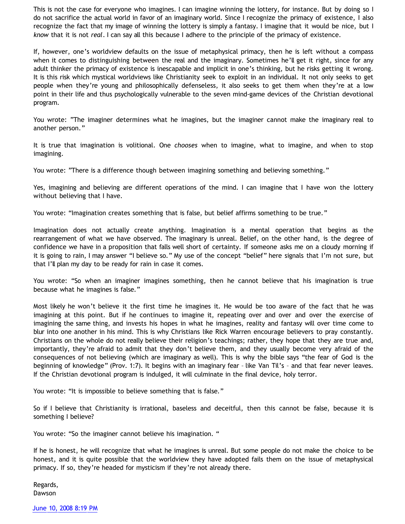This is not the case for everyone who imagines. I can imagine winning the lottery, for instance. But by doing so I do not sacrifice the actual world in favor of an imaginary world. Since I recognize the primacy of existence, I also recognize the fact that my image of winning the lottery is simply a fantasy. I imagine that it would be nice, but I *know* that it is not *real*. I can say all this because I adhere to the principle of the primacy of existence.

If, however, one's worldview defaults on the issue of metaphysical primacy, then he is left without a compass when it comes to distinguishing between the real and the imaginary. Sometimes he'll get it right, since for any adult thinker the primacy of existence is inescapable and implicit in one's thinking, but he risks getting it wrong. It is this risk which mystical worldviews like Christianity seek to exploit in an individual. It not only seeks to get people when they're young and philosophically defenseless, it also seeks to get them when they're at a low point in their life and thus psychologically vulnerable to the seven mind-game devices of the Christian devotional program.

You wrote: "The imaginer determines what he imagines, but the imaginer cannot make the imaginary real to another person."

It is true that imagination is volitional. One *chooses* when to imagine, what to imagine, and when to stop imagining.

You wrote: "There is a difference though between imagining something and believing something."

Yes, imagining and believing are different operations of the mind. I can imagine that I have won the lottery without believing that I have.

You wrote: "Imagination creates something that is false, but belief affirms something to be true."

Imagination does not actually create anything. Imagination is a mental operation that begins as the rearrangement of what we have observed. The imaginary is unreal. Belief, on the other hand, is the degree of confidence we have in a proposition that falls well short of certainty. If someone asks me on a cloudy morning if it is going to rain, I may answer "I believe so." My use of the concept "belief" here signals that I'm not sure, but that I'll plan my day to be ready for rain in case it comes.

You wrote: "So when an imaginer imagines something, then he cannot believe that his imagination is true because what he imagines is false."

Most likely he won't believe it the first time he imagines it. He would be too aware of the fact that he was imagining at this point. But if he continues to imagine it, repeating over and over and over the exercise of imagining the same thing, and invests his hopes in what he imagines, reality and fantasy will over time come to blur into one another in his mind. This is why Christians like Rick Warren encourage believers to pray constantly. Christians on the whole do not really believe their religion's teachings; rather, they hope that they are true and, importantly, they're afraid to admit that they don't believe them, and they usually become very afraid of the consequences of not believing (which are imaginary as well). This is why the bible says "the fear of God is the beginning of knowledge" (Prov. 1:7). It begins with an imaginary fear – like Van Til's – and that fear never leaves. If the Christian devotional program is indulged, it will culminate in the final device, holy terror.

You wrote: "It is impossible to believe something that is false."

So if I believe that Christianity is irrational, baseless and deceitful, then this cannot be false, because it is something I believe?

You wrote: "So the imaginer cannot believe his imagination. "

If he is honest, he will recognize that what he imagines is unreal. But some people do not make the choice to be honest, and it is quite possible that the worldview they have adopted fails them on the issue of metaphysical primacy. If so, they're headed for mysticism if they're not already there.

Regards, Dawson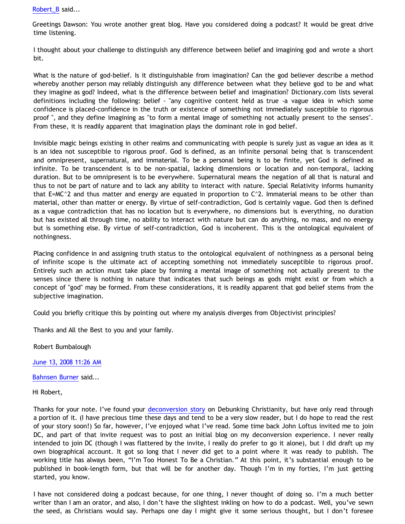[Robert\\_B](http://www.blogger.com/profile/03469718358131331499) said...

Greetings Dawson: You wrote another great blog. Have you considered doing a podcast? It would be great drive time listening.

I thought about your challenge to distinguish any difference between belief and imagining god and wrote a short bit.

What is the nature of god-belief. Is it distinguishable from imagination? Can the god believer describe a method whereby another person may reliably distinguish any difference between what they believe god to be and what they imagine as god? Indeed, what is the difference between belief and imagination? Dictionary.com lists several definitions including the following: belief - "any cognitive content held as true -a vague idea in which some confidence is placed-confidence in the truth or existence of something not immediately susceptible to rigorous proof ", and they define imagining as "to form a mental image of something not actually present to the senses". From these, it is readily apparent that imagination plays the dominant role in god belief.

Invisible magic beings existing in other realms and communicating with people is surely just as vague an idea as it is an idea not susceptible to rigorous proof. God is defined, as an infinite personal being that is transcendent and omnipresent, supernatural, and immaterial. To be a personal being is to be finite, yet God is defined as infinite. To be transcendent is to be non-spatial, lacking dimensions or location and non-temporal, lacking duration. But to be omnipresent is to be everywhere. Supernatural means the negation of all that is natural and thus to not be part of nature and to lack any ability to interact with nature. Special Relativity informs humanity that E=MC $\textdegree$ 2 and thus matter and energy are equated in proportion to C $\textdegree$ 2. Immaterial means to be other than material, other than matter or energy. By virtue of self-contradiction, God is certainly vague. God then is defined as a vague contradiction that has no location but is everywhere, no dimensions but is everything, no duration but has existed all through time, no ability to interact with nature but can do anything, no mass, and no energy but is something else. By virtue of self-contradiction, God is incoherent. This is the ontological equivalent of nothingness.

Placing confidence in and assigning truth status to the ontological equivalent of nothingness as a personal being of infinite scope is the ultimate act of accepting something not immediately susceptible to rigorous proof. Entirely such an action must take place by forming a mental image of something not actually present to the senses since there is nothing in nature that indicates that such beings as gods might exist or from which a concept of "god" may be formed. From these considerations, it is readily apparent that god belief stems from the subjective imagination.

Could you briefly critique this by pointing out where my analysis diverges from Objectivist principles?

Thanks and All the Best to you and your family.

Robert Bumbalough

[June 13, 2008 11:26 AM](http://bahnsenburner.blogspot.com/2008/06/2160729707844699538)

[Bahnsen Burner](http://www.blogger.com/profile/11030029491768748360) said...

Hi Robert,

Thanks for your note. I've found your [deconversion story](http://debunkingchristianity.blogspot.com/2008/06/robert-bumbaloughs-deconversion-story.html) on Debunking Christianity, but have only read through a portion of it. (I have precious time these days and tend to be a very slow reader, but I do hope to read the rest of your story soon!) So far, however, I've enjoyed what I've read. Some time back John Loftus invited me to join DC, and part of that invite request was to post an initial blog on my deconversion experience. I never really intended to join DC (though I was flattered by the invite, I really do prefer to go it alone), but I did draft up my own biographical account. It got so long that I never did get to a point where it was ready to publish. The working title has always been, "I'm Too Honest To Be a Christian." At this point, it's substantial enough to be published in book-length form, but that will be for another day. Though I'm in my forties, I'm just getting started, you know.

I have not considered doing a podcast because, for one thing, I never thought of doing so. I'm a much better writer than I am an orator, and also, I don't have the slightest inkling on how to do a podcast. Well, you've sewn the seed, as Christians would say. Perhaps one day I might give it some serious thought, but I don't foresee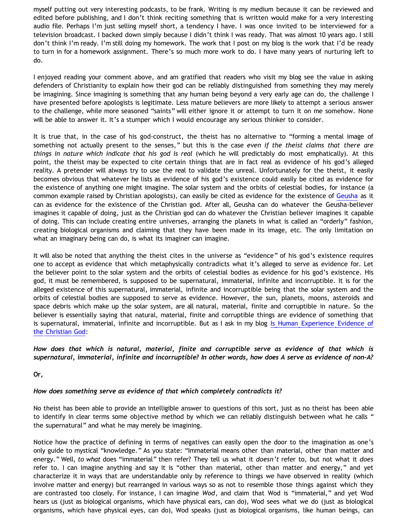myself putting out very interesting podcasts, to be frank. Writing is my medium because it can be reviewed and edited before publishing, and I don't think reciting something that is written would make for a very interesting audio file. Perhaps I'm just selling myself short, a tendency I have. I was once invited to be interviewed for a television broadcast. I backed down simply because I didn't think I was ready. That was almost 10 years ago. I still don't think I'm ready. I'm still doing my homework. The work that I post on my blog is the work that I'd be ready to turn in for a homework assignment. There's so much more work to do. I have many years of nurturing left to do.

I enjoyed reading your comment above, and am gratified that readers who visit my blog see the value in asking defenders of Christianity to explain how their god can be reliably distinguished from something they may merely be imagining. Since imagining is something that any human being beyond a very early age can do, the challenge I have presented before apologists is legitimate. Less mature believers are more likely to attempt a serious answer to the challenge, while more seasoned "saints" will either ignore it or attempt to turn it on me somehow. None will be able to answer it. It's a stumper which I would encourage any serious thinker to consider.

It is true that, in the case of his god-construct, the theist has no alternative to "forming a mental image of something not actually present to the senses," but this is the case *even if the theist claims that there are things in nature which indicate that his god is real* (which he will predictably do most emphatically). At this point, the theist may be expected to cite certain things that are in fact real as evidence of his god's alleged reality. A pretender will always try to use the real to validate the unreal. Unfortunately for the theist, it easily becomes obvious that whatever he lists as evidence of his god's existence could easily be cited as evidence for the existence of anything one might imagine. The solar system and the orbits of celestial bodies, for instance (a common example raised by Christian apologists), can easily be cited as evidence for the existence of [Geusha](http://bahnsenburner.blogspot.com/2005/04/putting-pauls-tag-to-geusha-test.html) as it can as evidence for the existence of the Christian god. After all, Geusha can do whatever the Geusha-believer imagines it capable of doing, just as the Christian god can do whatever the Christian believer imagines it capable of doing. This can include creating entire universes, arranging the planets in what is called an "orderly" fashion, creating biological organisms and claiming that they have been made in its image, etc. The only limitation on what an imaginary being can do, is what its imaginer can imagine.

It will also be noted that anything the theist cites in the universe as "evidence" of his god's existence requires one to accept as evidence that which metaphysically contradicts what it's alleged to serve as evidence for. Let the believer point to the solar system and the orbits of celestial bodies as evidence for his god's existence. His god, it must be remembered, is supposed to be supernatural, immaterial, infinite and incorruptible. It is for the alleged existence of this supernatural, immaterial, infinite and incorruptible being that the solar system and the orbits of celestial bodies are supposed to serve as evidence. However, the sun, planets, moons, asteroids and space debris which make up the solar system, are all natural, material, finite and corruptible in nature. So the believer is essentially saying that natural, material, finite and corruptible things are evidence of something that is supernatural, immaterial, infinite and incorruptible. But as I ask in my blog [Is Human Experience Evidence of](http://bahnsenburner.blogspot.com/2005/06/is-human-experience-evidence-of.html) [the Christian God:](http://bahnsenburner.blogspot.com/2005/06/is-human-experience-evidence-of.html)

*How does that which is natural, material, finite and corruptible serve as evidence of that which is supernatural, immaterial, infinite and incorruptible? In other words, how does A serve as evidence of non-A?*

**Or,**

## *How does something serve as evidence of that which completely contradicts it?*

No theist has been able to provide an intelligible answer to questions of this sort, just as no theist has been able to identify in clear terms some objective method by which we can reliably distinguish between what he calls " the supernatural" and what he may merely be imagining.

Notice how the practice of defining in terms of negatives can easily open the door to the imagination as one's only guide to mystical "knowledge." As you state: "Immaterial means other than material, other than matter and energy." Well, *to what* does "immaterial" then refer? They tell us what it *doesn't* refer to, but not what it *does* refer to. I can imagine anything and say it is "other than material, other than matter and energy," and yet characterize it in ways that are understandable only by reference to things we have observed in reality (which involve matter and energy) but rearranged in various ways so as not to resemble those things against which they are contrasted too closely. For instance, I can imagine *Wod*, and claim that Wod is "immaterial," and yet Wod hears us (just as biological organisms, which have physical ears, can do), Wod sees what we do (just as biological organisms, which have physical eyes, can do), Wod speaks (just as biological organisms, like human beings, can